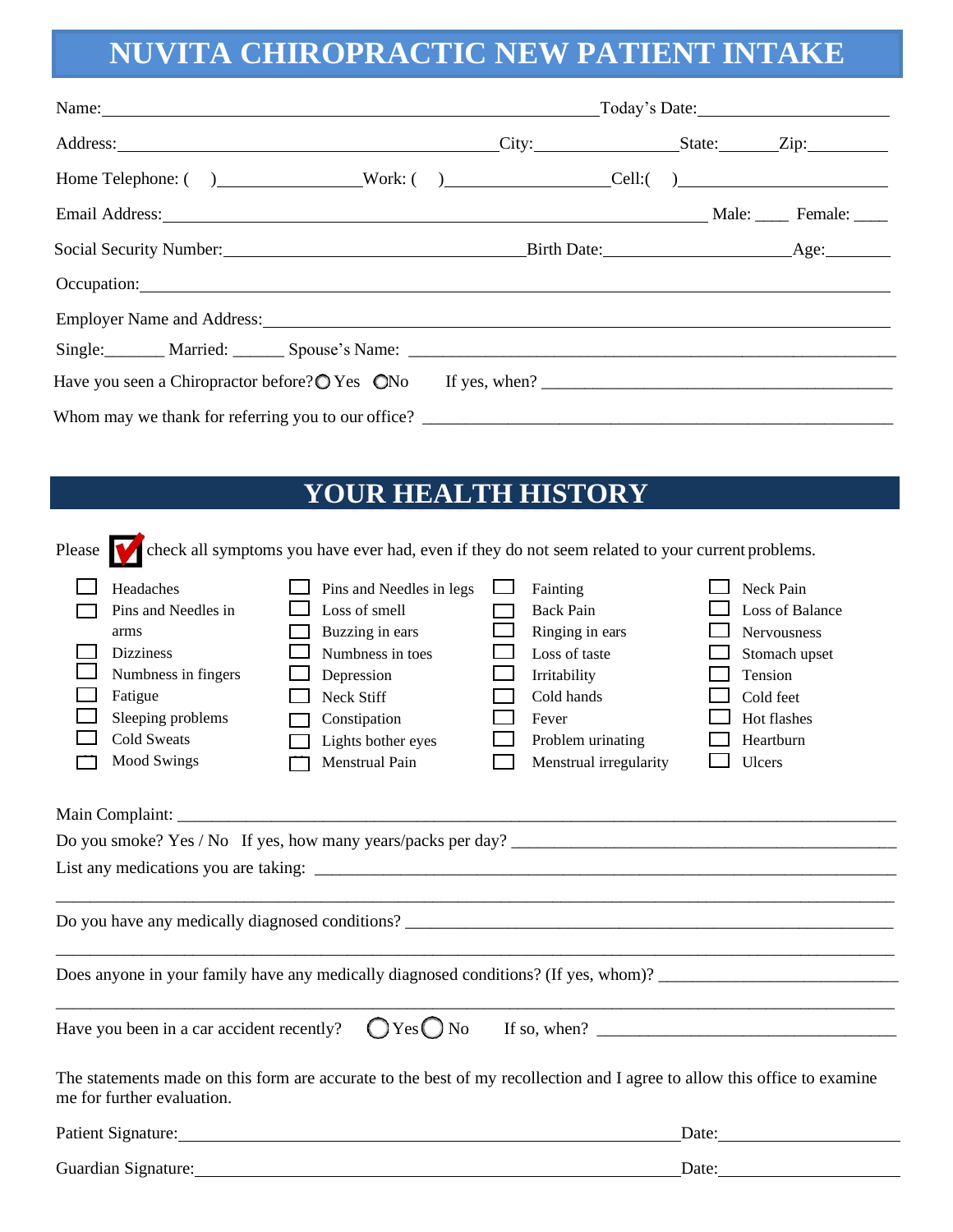## **NUVITA CHIROPRACTIC NEW PATIENT INTAKE**

|                                                                                                                                                                                                                               | Name: Today's Date: |  |  |  |  |  |
|-------------------------------------------------------------------------------------------------------------------------------------------------------------------------------------------------------------------------------|---------------------|--|--|--|--|--|
| Address: <u>City:</u> City: State: Zip: 21.                                                                                                                                                                                   |                     |  |  |  |  |  |
| Home Telephone: () Work: () Cell: ()                                                                                                                                                                                          |                     |  |  |  |  |  |
| Email Address: National Address: National Address: National Address: National Address: National Address: National Address: National Address: National Address: National Address: National Address: National Address: National |                     |  |  |  |  |  |
|                                                                                                                                                                                                                               |                     |  |  |  |  |  |
| Occupation:                                                                                                                                                                                                                   |                     |  |  |  |  |  |
| Employer Name and Address: 1988 and 2008 and 2008 and 2008 and 2008 and 2008 and 2008 and 2008 and 2008 and 20                                                                                                                |                     |  |  |  |  |  |
|                                                                                                                                                                                                                               |                     |  |  |  |  |  |
|                                                                                                                                                                                                                               |                     |  |  |  |  |  |
| Whom may we thank for referring you to our office?                                                                                                                                                                            |                     |  |  |  |  |  |

## **YOUR HEALTH HISTORY**

|                                                                                                                                                        | Please Check all symptoms you have ever had, even if they do not seem related to your current problems.                                                         |  |                                                                                                                                                                      |  |                                                                                                                                                        |       |                                                                                                                            |  |  |  |
|--------------------------------------------------------------------------------------------------------------------------------------------------------|-----------------------------------------------------------------------------------------------------------------------------------------------------------------|--|----------------------------------------------------------------------------------------------------------------------------------------------------------------------|--|--------------------------------------------------------------------------------------------------------------------------------------------------------|-------|----------------------------------------------------------------------------------------------------------------------------|--|--|--|
|                                                                                                                                                        | Headaches<br>Pins and Needles in<br>arms<br><b>Dizziness</b><br>Numbness in fingers<br>Fatigue<br>Sleeping problems<br><b>Cold Sweats</b><br><b>Mood Swings</b> |  | Pins and Needles in legs<br>Loss of smell<br>Buzzing in ears<br>Numbness in toes<br>Depression<br>Neck Stiff<br>Constipation<br>Lights bother eyes<br>Menstrual Pain |  | Fainting<br><b>Back Pain</b><br>Ringing in ears<br>Loss of taste<br>Irritability<br>Cold hands<br>Fever<br>Problem urinating<br>Menstrual irregularity |       | Neck Pain<br>Loss of Balance<br>Nervousness<br>Stomach upset<br>Tension<br>Cold feet<br>Hot flashes<br>Heartburn<br>Ulcers |  |  |  |
|                                                                                                                                                        |                                                                                                                                                                 |  |                                                                                                                                                                      |  |                                                                                                                                                        |       |                                                                                                                            |  |  |  |
| Do you have any medically diagnosed conditions?                                                                                                        |                                                                                                                                                                 |  |                                                                                                                                                                      |  |                                                                                                                                                        |       |                                                                                                                            |  |  |  |
|                                                                                                                                                        |                                                                                                                                                                 |  |                                                                                                                                                                      |  |                                                                                                                                                        |       |                                                                                                                            |  |  |  |
|                                                                                                                                                        |                                                                                                                                                                 |  |                                                                                                                                                                      |  |                                                                                                                                                        |       |                                                                                                                            |  |  |  |
| The statements made on this form are accurate to the best of my recollection and I agree to allow this office to examine<br>me for further evaluation. |                                                                                                                                                                 |  |                                                                                                                                                                      |  |                                                                                                                                                        |       |                                                                                                                            |  |  |  |
|                                                                                                                                                        | Patient Signature: Management Signature:                                                                                                                        |  |                                                                                                                                                                      |  |                                                                                                                                                        |       | Date:                                                                                                                      |  |  |  |
|                                                                                                                                                        | Guardian Signature:                                                                                                                                             |  | <u> 1989 - Johann Barnett, fransk politiker (d. 1989)</u>                                                                                                            |  |                                                                                                                                                        | Date: |                                                                                                                            |  |  |  |